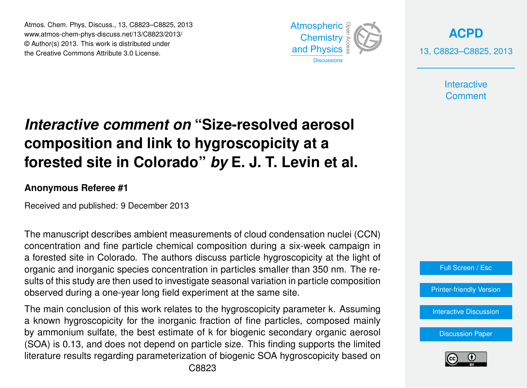Atmos. Chem. Phys. Discuss., 13, C8823–C8825, 2013 Atmospheric www.atmos-chem-phys-discuss.net/13/C8823/2013/<br>@ Author(a) 2012, This work is distributed under © Author(s) 2013. This work is distributed under the Creative Commons Attribute 3.0 License.



**[ACPD](http://www.atmos-chem-phys-discuss.net)** 13, C8823–C8825, 2013

> **Interactive Comment**

## biogeos vil<br>Biogeos  $\overline{\phantom{0}}$  $\overline{\phantom{a}}$ **Interactive comment on "Size-resolved aerosol** composition and link to hygroscopicity at a J<br>C  $\overline{a}$ forested site in Colorado" *by* E. J. T. Levin et al.

## **Anonymous Referee #1**

Received and published: 9 December 2013

oient measurements of cloud condensation nuc u<br>u e<br>e The manuscript describes ambient measurements of cloud condensation nuclei (CCN) a forested site in Colorado. The authors discuss particle hygroscopicity at the light of organic and inorganic species concentration in particles smaller than 350 nm. The results of this study are then used to investigate seasonal variation in particle composition observed during a one-year long field experiment at the same site. ti<br>ga -<br>|<br>|<br>| concentration and fine particle chemical composition during a six-week campaign in

The main conclusion of this work relates to the hygroscopicity parameter k. Assuming s work relates to the hygroscopicity parameter K. 7<br>the inorganic fraction of fine particles, compose iony ion the morganic machon or line particles, compose<br>te. the best estimate of k for biogenic secondary organi o<br>D<br>! .s<br>d<br>; by ammonium sulfate, the best estimate of k for biogenic secondary organic aerosol literature results regarding parameterization of biogenic SOA hygroscopicity based on  $\frac{1}{2}$ J<br>C a known hygroscopicity for the inorganic fraction of fine particles, composed mainly (SOA) is 0.13, and does not depend on particle size. This finding supports the limited

C8823

Earth System



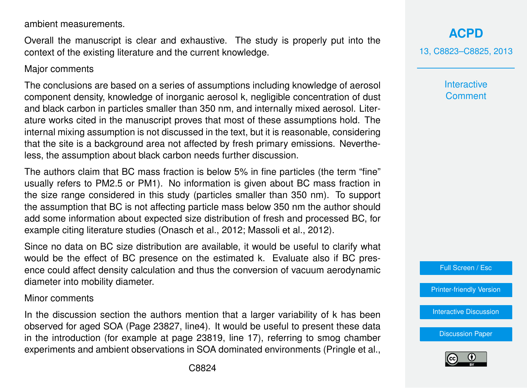ambient measurements.

Overall the manuscript is clear and exhaustive. The study is properly put into the context of the existing literature and the current knowledge.

## Major comments

The conclusions are based on a series of assumptions including knowledge of aerosol component density, knowledge of inorganic aerosol k, negligible concentration of dust and black carbon in particles smaller than 350 nm, and internally mixed aerosol. Literature works cited in the manuscript proves that most of these assumptions hold. The internal mixing assumption is not discussed in the text, but it is reasonable, considering that the site is a background area not affected by fresh primary emissions. Nevertheless, the assumption about black carbon needs further discussion.

The authors claim that BC mass fraction is below 5% in fine particles (the term "fine" usually refers to PM2.5 or PM1). No information is given about BC mass fraction in the size range considered in this study (particles smaller than 350 nm). To support the assumption that BC is not affecting particle mass below 350 nm the author should add some information about expected size distribution of fresh and processed BC, for example citing literature studies (Onasch et al., 2012; Massoli et al., 2012).

Since no data on BC size distribution are available, it would be useful to clarify what would be the effect of BC presence on the estimated k. Evaluate also if BC presence could affect density calculation and thus the conversion of vacuum aerodynamic diameter into mobility diameter.

## Minor comments

In the discussion section the authors mention that a larger variability of k has been observed for aged SOA (Page 23827, line4). It would be useful to present these data in the introduction (for example at page 23819, line 17), referring to smog chamber experiments and ambient observations in SOA dominated environments (Pringle et al.,

**[ACPD](http://www.atmos-chem-phys-discuss.net)** 13, C8823–C8825, 2013

> **Interactive Comment**



[Printer-friendly Version](http://www.atmos-chem-phys-discuss.net/13/C8823/2013/acpd-13-C8823-2013-print.pdf)

[Interactive Discussion](http://www.atmos-chem-phys-discuss.net/13/23817/2013/acpd-13-23817-2013-discussion.html)

[Discussion Paper](http://www.atmos-chem-phys-discuss.net/13/23817/2013/acpd-13-23817-2013.pdf)